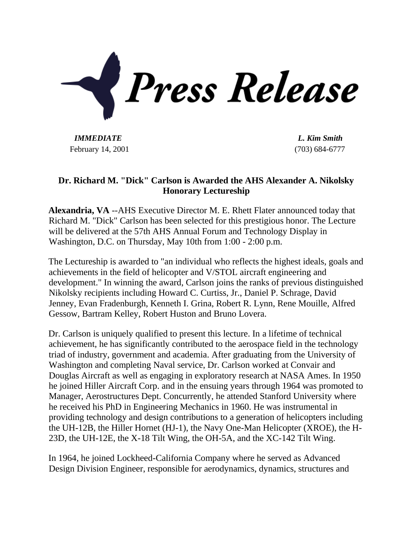

*IMMEDIATE L. Kim Smith* February 14, 2001 (703) 684-6777

## **Dr. Richard M. "Dick" Carlson is Awarded the AHS Alexander A. Nikolsky Honorary Lectureship**

**Alexandria, VA** --AHS Executive Director M. E. Rhett Flater announced today that Richard M. "Dick" Carlson has been selected for this prestigious honor. The Lecture will be delivered at the 57th AHS Annual Forum and Technology Display in Washington, D.C. on Thursday, May 10th from 1:00 - 2:00 p.m.

The Lectureship is awarded to "an individual who reflects the highest ideals, goals and achievements in the field of helicopter and V/STOL aircraft engineering and development." In winning the award, Carlson joins the ranks of previous distinguished Nikolsky recipients including Howard C. Curtiss, Jr., Daniel P. Schrage, David Jenney, Evan Fradenburgh, Kenneth I. Grina, Robert R. Lynn, Rene Mouille, Alfred Gessow, Bartram Kelley, Robert Huston and Bruno Lovera.

Dr. Carlson is uniquely qualified to present this lecture. In a lifetime of technical achievement, he has significantly contributed to the aerospace field in the technology triad of industry, government and academia. After graduating from the University of Washington and completing Naval service, Dr. Carlson worked at Convair and Douglas Aircraft as well as engaging in exploratory research at NASA Ames. In 1950 he joined Hiller Aircraft Corp. and in the ensuing years through 1964 was promoted to Manager, Aerostructures Dept. Concurrently, he attended Stanford University where he received his PhD in Engineering Mechanics in 1960. He was instrumental in providing technology and design contributions to a generation of helicopters including the UH-12B, the Hiller Hornet (HJ-1), the Navy One-Man Helicopter (XROE), the H-23D, the UH-12E, the X-18 Tilt Wing, the OH-5A, and the XC-142 Tilt Wing.

In 1964, he joined Lockheed-California Company where he served as Advanced Design Division Engineer, responsible for aerodynamics, dynamics, structures and